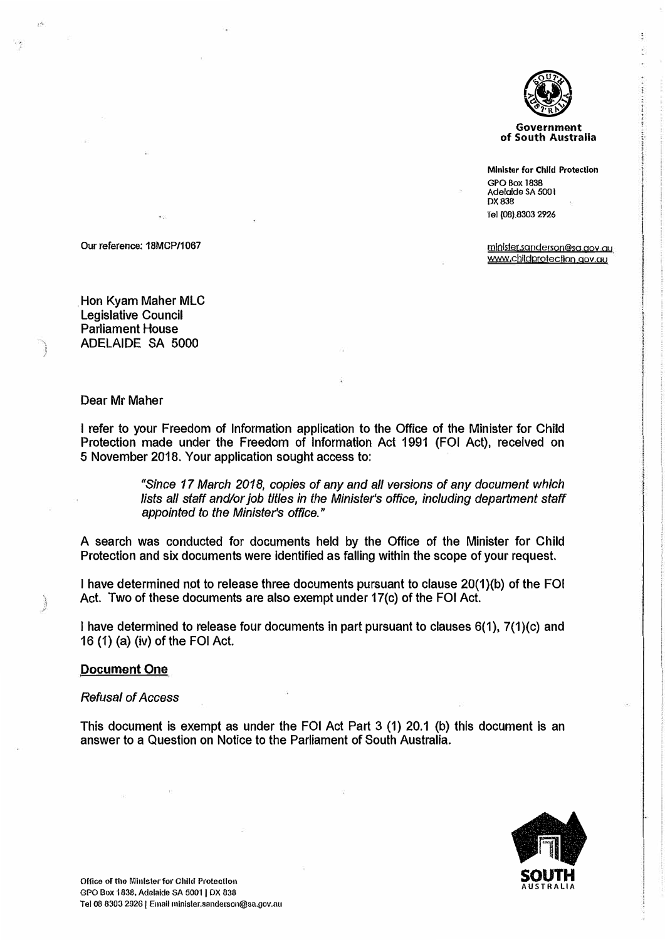

**Government of South Australia** 

**Minister for Child Protection GPO Box 1838 Adelaide SA 500 I**  DX 838 **Tel (08).8303 2926** 

www.childprotection.gov.au mJolster.sanderson@sa gov au

Our reference: 18MCP/1067

Hon Kyam Maher MLC Legislative Council Parliament House ADELAIDE SA 5000

#### Dear Mr Maher

I refer to your Freedom of Information application to the Office of the Minister for Child Protection made under the Freedom of Information Act 1991 (FOi Act), received on 5 November 2018. Your application sought access to:

> *"Since 17 March 2018, copies of any and all versions of any document which*  lists all staff and/or job titles in the Minister's office, including department staff *appointed to the Minister's office."*

A search was conducted for documents held by the Office of the Minister for Child Protection and six documents were identified as falling within the scope of your request.

I have determined not to release three documents pursuant to clause 20(1)(b) of the FOi Act. Two of these documents are also exempt under 17(c) of the FOi Act.

I have determined to release four documents in part pursuant to clauses 6(1), 7(1)(c) and 16 (1) (a) (iv) of the FOi Act.

#### **Document One**

#### *Refusal of Access*

This document is exempt as under the FOI Act Part  $3$  (1) 20.1 (b) this document is an answer to a Question on Notice to the Parliament of South Australia.

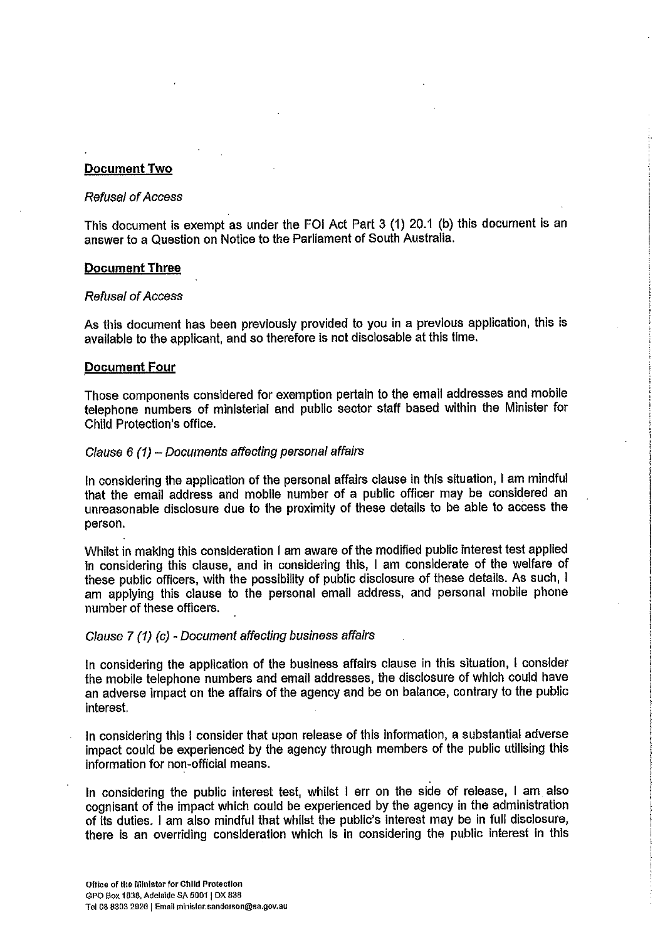#### Document Two

#### **Refusal of Access**

This document is exempt as under the FOI Act Part 3 (1) 20.1 (b) this document is an answer to a Question on Notice to the Parliament of South Australia.

#### **Document Three**

#### **Refusal of Access**

As this document has been previously provided to you in a previous application, this is available to the applicant, and so therefore is not disclosable at this time.

#### **Document Four**

Those components considered for exemption pertain to the email addresses and mobile telephone numbers of ministerial and public sector staff based within the Minister for Child Protection's office.

#### Clause 6 (1) - Documents affecting personal affairs

In considering the application of the personal affairs clause in this situation, I am mindful that the email address and mobile number of a public officer may be considered an unreasonable disclosure due to the proximity of these details to be able to access the person.

Whilst in making this consideration I am aware of the modified public interest test applied in considering this clause, and in considering this, I am considerate of the welfare of these public officers, with the possibility of public disclosure of these details. As such, I am applying this clause to the personal email address, and personal mobile phone number of these officers.

#### Clause 7 (1) (c) - Document affecting business affairs

In considering the application of the business affairs clause in this situation, I consider the mobile telephone numbers and email addresses, the disclosure of which could have an adverse impact on the affairs of the agency and be on balance, contrary to the public interest.

In considering this I consider that upon release of this information, a substantial adverse impact could be experienced by the agency through members of the public utilising this information for non-official means.

In considering the public interest test, whilst I err on the side of release, I am also cognisant of the impact which could be experienced by the agency in the administration of its duties. I am also mindful that whilst the public's interest may be in full disclosure, there is an overriding consideration which is in considering the public interest in this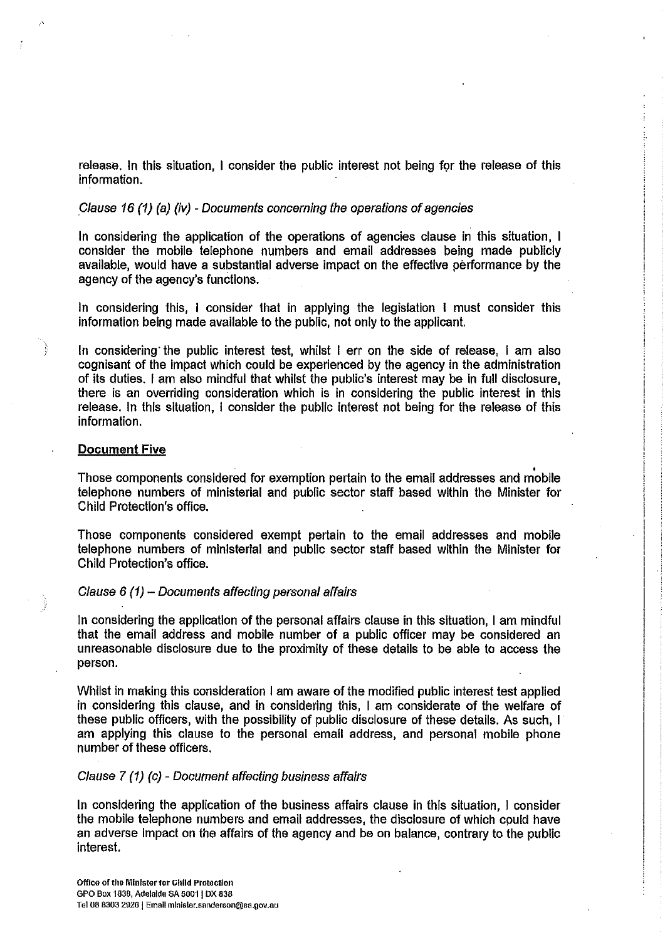release. In this situation, I consider the public interest not being for the release of this information.

#### Clause 16 (1) (a) (iv) - Documents concerning the operations of agencies

In considering the application of the operations of agencies clause in this situation, I consider the mobile telephone numbers and email addresses being made publicly available, would have a substantial adverse impact on the effective performance by the agency of the agency's functions.

In considering this, I consider that in applying the legislation I must consider this information being made available to the public, not only to the applicant.

In considering the public interest test, whilst I err on the side of release. I am also cognisant of the impact which could be experienced by the agency in the administration of its duties. I am also mindful that whilst the public's interest may be in full disclosure, there is an overriding consideration which is in considering the public interest in this release. In this situation, I consider the public interest not being for the release of this information.

#### **Document Five**

Those components considered for exemption pertain to the email addresses and mobile telephone numbers of ministerial and public sector staff based within the Minister for Child Protection's office.

Those components considered exempt pertain to the email addresses and mobile telephone numbers of ministerial and public sector staff based within the Minister for Child Protection's office.

#### Clause 6 (1) - Documents affecting personal affairs

In considering the application of the personal affairs clause in this situation. I am mindful that the email address and mobile number of a public officer may be considered an unreasonable disclosure due to the proximity of these details to be able to access the person.

Whilst in making this consideration I am aware of the modified public interest test applied in considering this clause, and in considering this. I am considerate of the welfare of these public officers, with the possibility of public disclosure of these details. As such, I am applying this clause to the personal email address, and personal mobile phone number of these officers.

#### Clause 7 (1) (c) - Document affecting business affairs

In considering the application of the business affairs clause in this situation. I consider the mobile telephone numbers and email addresses, the disclosure of which could have an adverse impact on the affairs of the agency and be on balance, contrary to the public interest.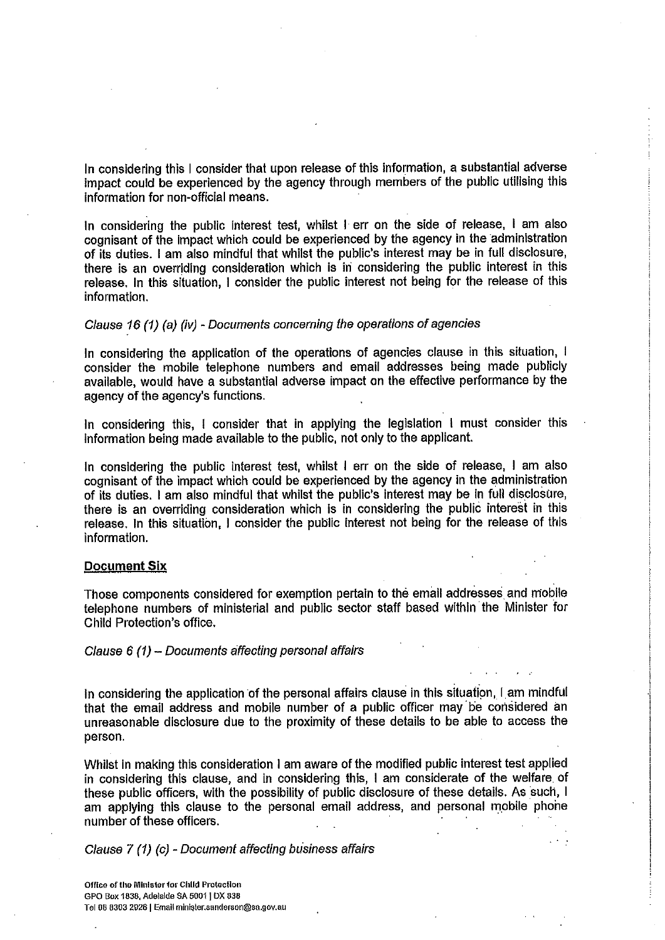In considering this I consider that upon release of this information, a substantial adverse impact could be experienced by the agency through members of the public utilising this information for non-official means.

In considering the public interest test, whilst I err on the side of release, I am also cognisant of the impact which could be experienced by the agency in the administration of its duties. I am also mindful that whilst the public's interest may be in full disclosure, there is an overriding consideration which is in considering the public interest in this release. In this situation, I consider the public interest not being for the release of this information.

## Clause 16 (1) (a) (iv) - Documents concerning the operations of agencies

In considering the application of the operations of agencies clause in this situation, I consider the mobile telephone numbers and email addresses being made publicly available, would have a substantial adverse impact on the effective performance by the agency of the agency's functions.

In considering this, I consider that in applying the legislation I must consider this information being made available to the public, not only to the applicant.

In considering the public interest test, whilst I err on the side of release, I am also cognisant of the impact which could be experienced by the agency in the administration of its duties. I am also mindful that whilst the public's interest may be in full disclosure, there is an overriding consideration which is in considering the public interest in this release. In this situation, I consider the public interest not being for the release of this information.

#### **Document Six**

Those components considered for exemption pertain to the email addresses and mobile telephone numbers of ministerial and public sector staff based within the Minister for Child Protection's office.

#### Clause 6 (1) - Documents affecting personal affairs

In considering the application of the personal affairs clause in this situation, I am mindful that the email address and mobile number of a public officer may be considered an unreasonable disclosure due to the proximity of these details to be able to access the person.

Whilst in making this consideration I am aware of the modified public interest test applied in considering this clause, and in considering this, I am considerate of the welfare of these public officers, with the possibility of public disclosure of these details. As such, I am applying this clause to the personal email address, and personal mobile phone number of these officers.

Clause 7 (1) (c) - Document affecting business affairs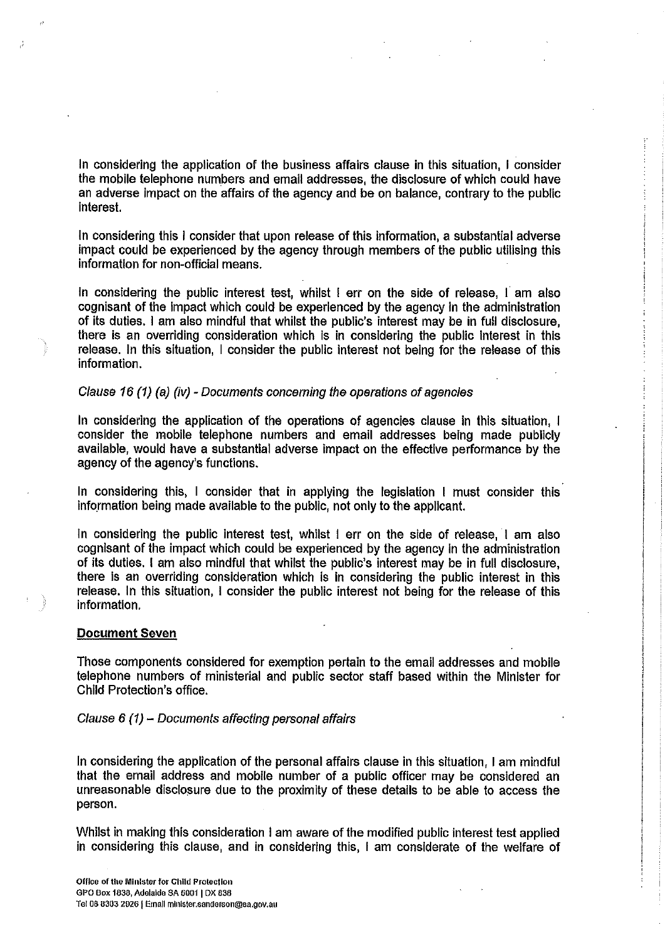In considering the application of the business affairs clause in this situation, I consider the mobile telephone numbers and email addresses, the disclosure of which could have an adverse impact on the affairs of the agency and be on balance, contrary to the public interest.

In considering this I consider that upon release of this information, a substantial adverse impact could be experienced by the agency through members of the public utilising this information for non-official means.

In considering the public interest test, whilst I err on the side of release, I am also cognisant of the impact which could be experienced by the agency in the administration of its duties. I am also mindful that whilst the public's interest may be in full disclosure, there is an overriding consideration which is in considering the public interest in this release. In this situation, I consider the public interest not being for the release of this information.

#### Clause 16 (1) (a) (iv) - Documents concerning the operations of agencies

In considering the application of the operations of agencies clause in this situation, I consider the mobile telephone numbers and email addresses being made publicly available, would have a substantial adverse impact on the effective performance by the agency of the agency's functions.

In considering this, I consider that in applying the legislation I must consider this information being made available to the public, not only to the applicant.

In considering the public interest test, whilst I err on the side of release, I am also cognisant of the impact which could be experienced by the agency in the administration of its duties. I am also mindful that whilst the public's interest may be in full disclosure, there is an overriding consideration which is in considering the public interest in this release. In this situation, I consider the public interest not being for the release of this information.

#### **Document Seven**

Those components considered for exemption pertain to the email addresses and mobile telephone numbers of ministerial and public sector staff based within the Minister for Child Protection's office.

#### Clause 6 (1) - Documents affecting personal affairs

In considering the application of the personal affairs clause in this situation. I am mindful that the email address and mobile number of a public officer may be considered an unreasonable disclosure due to the proximity of these details to be able to access the person.

Whilst in making this consideration I am aware of the modified public interest test applied in considering this clause, and in considering this, I am considerate of the welfare of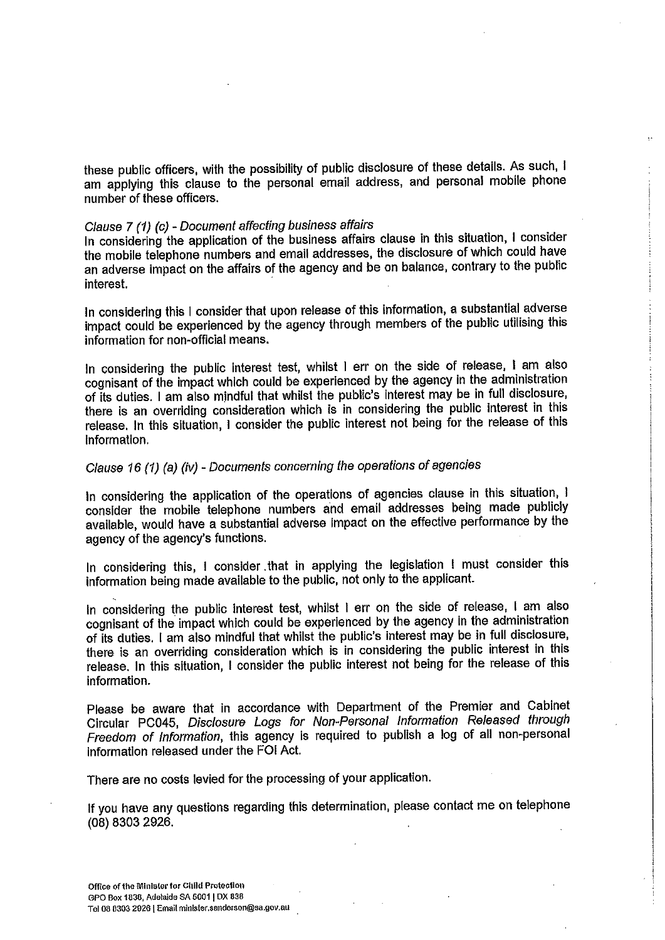these public officers, with the possibility of public disclosure of these details. As such, I am applying this clause to the personal email address, and personal mobile phone number of these officers.

## Clause 7 (1) (c) - Document affecting business affairs

In considering the application of the business affairs clause in this situation, I consider the mobile telephone numbers and email addresses, the disclosure of which could have an adverse impact on the affairs of the agency and be on balance, contrary to the public interest.

In considering this I consider that upon release of this information, a substantial adverse impact could be experienced by the agency through members of the public utilising this information for non-official means.

In considering the public interest test, whilst I err on the side of release, I am also cognisant of the impact which could be experienced by the agency in the administration of its duties. I am also mindful that whilst the public's interest may be in full disclosure, there is an overriding consideration which is in considering the public interest in this release. In this situation, I consider the public interest not being for the release of this information.

## Clause 16 (1) (a) (iv) - Documents concerning the operations of agencies

In considering the application of the operations of agencies clause in this situation, I consider the mobile telephone numbers and email addresses being made publicly available, would have a substantial adverse impact on the effective performance by the agency of the agency's functions.

In considering this, I consider that in applying the legislation I must consider this information being made available to the public, not only to the applicant.

In considering the public interest test, whilst I err on the side of release, I am also cognisant of the impact which could be experienced by the agency in the administration of its duties. I am also mindful that whilst the public's interest may be in full disclosure, there is an overriding consideration which is in considering the public interest in this release. In this situation, I consider the public interest not being for the release of this information.

Please be aware that in accordance with Department of the Premier and Cabinet Circular PC045, Disclosure Logs for Non-Personal Information Released through Freedom of Information, this agency is required to publish a log of all non-personal information released under the FOI Act.

There are no costs levied for the processing of your application.

If you have any questions regarding this determination, please contact me on telephone (08) 8303 2926.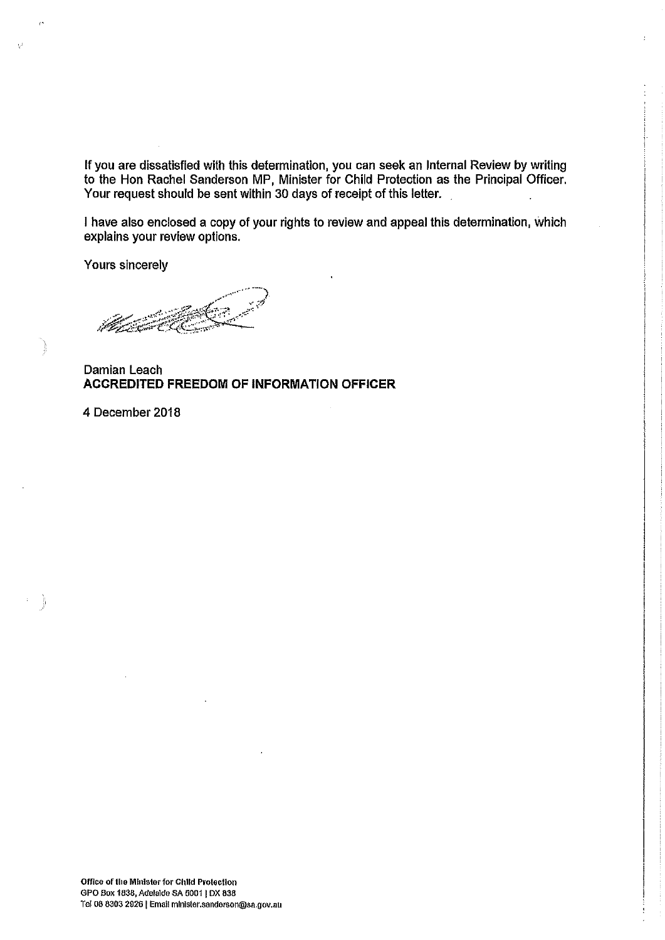If you are dissatisfied with this determination, you can seek an Internal Review by writing to the Hon Rachel Sanderson MP, Minister for Child Protection as the Principal Officer. Your request should be sent within 30 days of receipt of this letter.

I have also enclosed a copy of your rights to review and appeal this determination, which explains your review options.

**Yours sincerely** 

Damian Leach **ACCREDITED FREEDOM OF INFORMATION OFFICER** 

4 December 2018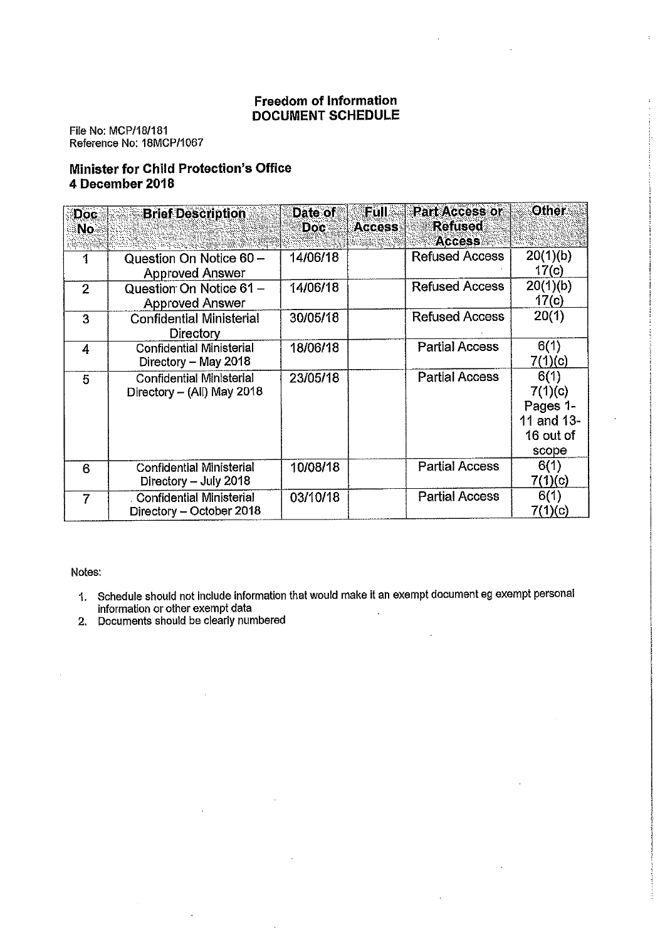### **Freedom of Information DOCUMENT SCHEDULE**

File No: MCP/18/181 Reference No: 18MCP/1067

## Minister for Child Protection's Office 4 December 2018

| Doc.<br>No     | <b>Brief Description</b>                                      | Date of<br><b>Doc</b> | <b>Füll</b><br><b>Part Access or</b><br><b>Refused</b><br><b>Access</b><br><b>Access</b> | <b>Other</b>                                                    |
|----------------|---------------------------------------------------------------|-----------------------|------------------------------------------------------------------------------------------|-----------------------------------------------------------------|
| 1              | Question On Notice 60 -<br><b>Approved Answer</b>             | 14/06/18              | <b>Refused Access</b>                                                                    | 20(1)(b)<br>17(c)                                               |
| $\overline{2}$ | Question On Notice 61 -<br><b>Approved Answer</b>             | 14/06/18              | <b>Refused Access</b>                                                                    | 20(1)(b)<br>17(c)                                               |
| 3              | <b>Confidential Ministerial</b><br><b>Directory</b>           | 30/05/18              | <b>Refused Access</b>                                                                    | 20(1)                                                           |
| 4              | <b>Confidential Ministerial</b><br>Directory - May 2018       | 18/06/18              | <b>Partial Access</b>                                                                    | 6(1)<br>7(1)(c)                                                 |
| 5              | <b>Confidential Ministerial</b><br>Directory - (All) May 2018 | 23/05/18              | <b>Partial Access</b>                                                                    | 6(1)<br>7(1)(c)<br>Pages 1-<br>11 and 13-<br>16 out of<br>scope |
| 6              | <b>Confidential Ministerial</b><br>Directory - July 2018      | 10/08/18              | <b>Partial Access</b>                                                                    | 6(1)<br>7(1)(c)                                                 |
| 7              | <b>Confidential Ministerial</b><br>Directory $-$ October 2018 | 03/10/18              | <b>Partial Access</b>                                                                    | 6(1)<br>7(1)(c)                                                 |

Notes:

- 1. Schedule should not include information that would make it an exempt document eg exempt personal<br>information or other exempt data<br>2. Documents should be clearly numbered
-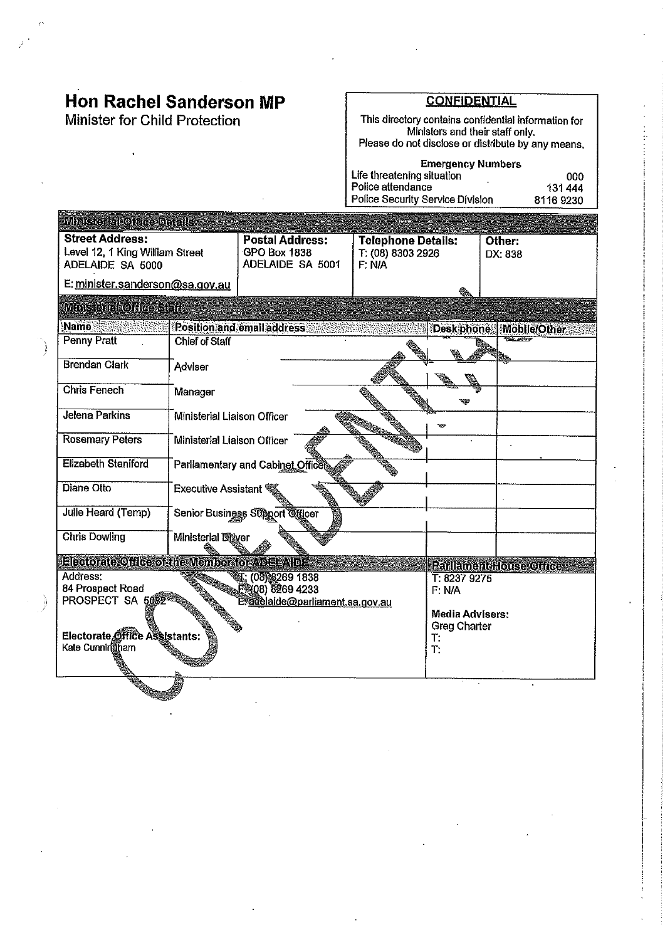Minister for Child Protection

∰engelang pang

#### **CONFIDENTIAL**

This directory contains confidential information for<br>Ministers and their staff only.<br>Please do not disclose or distribute by any means.

| <b>Emergency Numbers</b>         |          |  |  |  |  |
|----------------------------------|----------|--|--|--|--|
| Life threatening situation       | റററ      |  |  |  |  |
| Police attendance                | 131444   |  |  |  |  |
| Police Security Service Division | 81169230 |  |  |  |  |

| <b>Ministeriale Office Distants</b>                                           |                                                     |                                                                                                                               |  |                                        |                         |  |  |
|-------------------------------------------------------------------------------|-----------------------------------------------------|-------------------------------------------------------------------------------------------------------------------------------|--|----------------------------------------|-------------------------|--|--|
| <b>Street Address:</b><br>Level 12, 1 King William Street<br>ADELAIDE SA 5000 |                                                     | <b>Postal Address:</b><br><b>Telephone Details:</b><br><b>GPO Box 1838</b><br>T: (08) 8303 2926<br>ADELAIDE SA 5001<br>F: N/A |  |                                        | Other:<br>DX: 838       |  |  |
| E: minister.sanderson@sa.gov.au                                               |                                                     |                                                                                                                               |  |                                        |                         |  |  |
| <b>Ministerint Orleaster</b>                                                  |                                                     |                                                                                                                               |  |                                        |                         |  |  |
| Name.                                                                         |                                                     | Position and email address                                                                                                    |  | <b>Desk phone</b>                      | Mobile/Other            |  |  |
| <b>Penny Pratt</b>                                                            | <b>Chief of Staff</b>                               |                                                                                                                               |  |                                        |                         |  |  |
| <b>Brendan Clark</b>                                                          | Adviser                                             |                                                                                                                               |  |                                        |                         |  |  |
| <b>Chris Fenech</b>                                                           | Manager                                             |                                                                                                                               |  |                                        |                         |  |  |
| <b>Jelena Parkins</b>                                                         | Ministerial Lialson Officer                         |                                                                                                                               |  | <b>KSS</b>                             |                         |  |  |
| <b>Rosemary Peters</b>                                                        | Ministerial Liaison Officer                         |                                                                                                                               |  |                                        |                         |  |  |
| <b>Elizabeth Staniford</b>                                                    |                                                     | Parliamentary and Cabinet Officet                                                                                             |  |                                        |                         |  |  |
| <b>Diane Otto</b>                                                             | Executive Assistant                                 |                                                                                                                               |  |                                        |                         |  |  |
| Julie Heard (Temp)                                                            |                                                     | Senior Business Support Officer                                                                                               |  |                                        |                         |  |  |
| <b>Chris Dowling</b>                                                          | <b>Ministerial Diaver</b>                           |                                                                                                                               |  |                                        |                         |  |  |
| Electorate Office of the Member for ADELAIDE                                  |                                                     |                                                                                                                               |  |                                        | Parllament House Office |  |  |
| Address:                                                                      |                                                     | T: (08) 8269 1838                                                                                                             |  | T: 8237 9275                           |                         |  |  |
| 84 Prospect Road                                                              |                                                     | ER(08) 8269 4233                                                                                                              |  | F: N/A                                 |                         |  |  |
|                                                                               | PROSPECT SA 5082<br>E.adelaide@parliament.sa.gov.au |                                                                                                                               |  |                                        |                         |  |  |
|                                                                               |                                                     |                                                                                                                               |  | Media Advisers:<br><b>Greg Charter</b> |                         |  |  |
| Electorate Office Assistants:                                                 |                                                     |                                                                                                                               |  |                                        |                         |  |  |
| Kate Cunningham                                                               |                                                     |                                                                                                                               |  | Т:<br>ገነ                               |                         |  |  |
|                                                                               |                                                     |                                                                                                                               |  |                                        |                         |  |  |
|                                                                               |                                                     |                                                                                                                               |  |                                        |                         |  |  |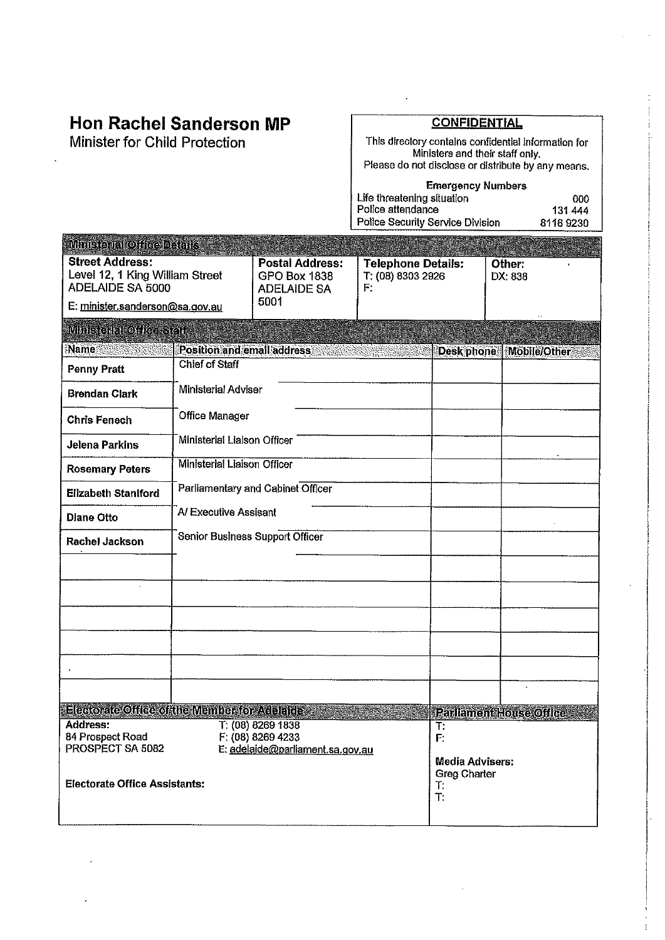Minister for Child Protection

## **CONFIDENTIAL**

 $\ddot{\phantom{0}}$ 

This directory contains confidential information for<br>Ministers and their staff only.<br>Please do not disclose or distribute by any means.

**Emergency Numbers** 

| <b>Effected Cy Numbers</b>              |          |  |  |  |  |
|-----------------------------------------|----------|--|--|--|--|
| Life threatening situation              | nnn      |  |  |  |  |
| Police attendance                       | 131 444  |  |  |  |  |
| <b>Police Security Service Division</b> | 81169230 |  |  |  |  |

| <b>Ministerial Office Details</b>                                                        |                                                                            |                                                              |                                                                            |  |                         |
|------------------------------------------------------------------------------------------|----------------------------------------------------------------------------|--------------------------------------------------------------|----------------------------------------------------------------------------|--|-------------------------|
| <b>Street Address:</b><br>Level 12, 1 King William Street<br>ADELAIDE SA 5000            |                                                                            | <b>Postal Address:</b><br>GPO Box 1838<br><b>ADELAIDE SA</b> | <b>Telephone Details:</b><br>T: (08) 8303 2926<br>F:                       |  | Other:<br>DX: 838       |
| E: minister sanderson@sa.gov.au                                                          |                                                                            | 5001                                                         |                                                                            |  |                         |
| Minsenakodiaasad                                                                         |                                                                            |                                                              |                                                                            |  |                         |
| Name<br>genggen Sig                                                                      |                                                                            | Position and email address                                   |                                                                            |  | Desk phone Mobile/Other |
| <b>Penny Pratt</b>                                                                       | <b>Chief of Staff</b>                                                      |                                                              |                                                                            |  |                         |
| <b>Brendan Clark</b>                                                                     | Ministerial Adviser                                                        |                                                              |                                                                            |  |                         |
| <b>Chris Fenech</b>                                                                      | <b>Office Manager</b>                                                      |                                                              |                                                                            |  |                         |
| <b>Jelena Parkins</b>                                                                    | Ministerial Liaison Officer                                                |                                                              |                                                                            |  |                         |
| <b>Rosemary Peters</b>                                                                   | <b>Ministerial Liaison Officer</b>                                         |                                                              |                                                                            |  |                         |
| Parliamentary and Cabinet Officer<br><b>Elizabeth Staniford</b>                          |                                                                            |                                                              |                                                                            |  |                         |
| <b>Dlane Otto</b>                                                                        | A/Executive Assisant                                                       |                                                              |                                                                            |  |                         |
| Rachel Jackson                                                                           | Senior Business Support Officer                                            |                                                              |                                                                            |  |                         |
|                                                                                          |                                                                            |                                                              |                                                                            |  |                         |
|                                                                                          |                                                                            |                                                              |                                                                            |  |                         |
|                                                                                          |                                                                            |                                                              |                                                                            |  |                         |
|                                                                                          |                                                                            |                                                              |                                                                            |  |                         |
|                                                                                          |                                                                            |                                                              |                                                                            |  |                         |
|                                                                                          |                                                                            |                                                              |                                                                            |  |                         |
| Electorate Office of the Member for Addultice                                            |                                                                            |                                                              |                                                                            |  | Parliament House Office |
| Address:<br>84 Prospect Road<br>PROSPECT SA 5082<br><b>Electorate Office Assistants:</b> | T: (08) 8269 1838<br>F: (08) 8269 4233<br>E: adelaide@parliament.sa.gov.au |                                                              | T.<br>F.<br><b>Media Advisers:</b><br>Greg Charter<br>$\mathsf{T}$ :<br>T. |  |                         |
|                                                                                          |                                                                            |                                                              |                                                                            |  |                         |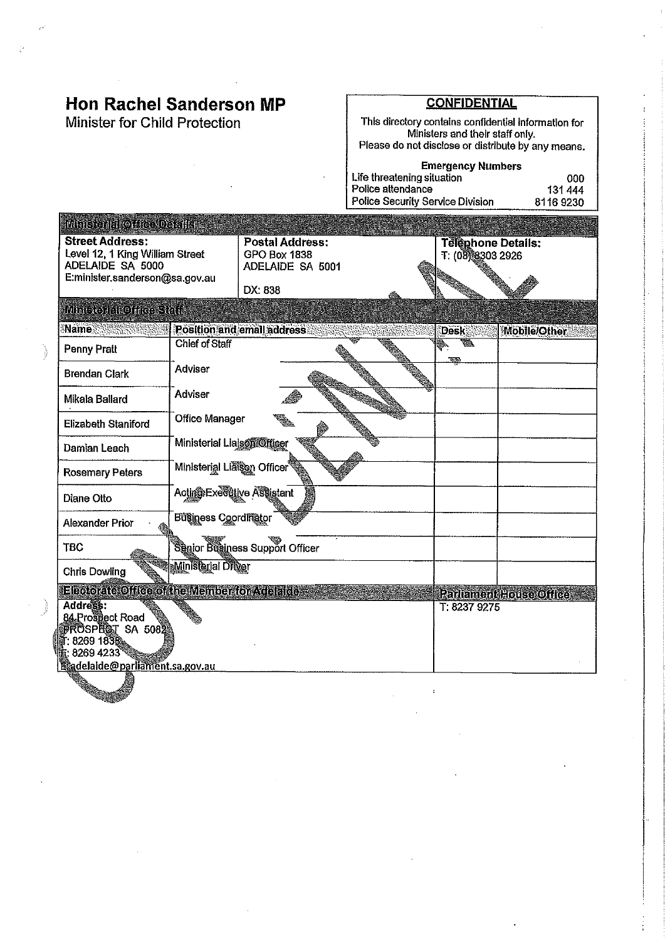Minister for Child Protection

and a contract of the contract of the contract of the contract of the contract of the contract of the contract of the contract of the contract of the contract of the contract of the contract of the contract of the contract

#### **CONFIDENTIAL**

This directory contains confidential information for<br>Ministers and their staff only.<br>Please do not disclose or distribute by any means.

| <b>Emergency Numbers</b>         |          |  |  |  |  |
|----------------------------------|----------|--|--|--|--|
| Life threatening situation       | იიი      |  |  |  |  |
| Police attendance                | 131444   |  |  |  |  |
| Police Security Service Division | 81169230 |  |  |  |  |

| Ministerial Offer Defails                                                                                       |                             |                                                            |  |                                               |                                |
|-----------------------------------------------------------------------------------------------------------------|-----------------------------|------------------------------------------------------------|--|-----------------------------------------------|--------------------------------|
| <b>Street Address:</b><br>Level 12, 1 King William Street<br>ADELAIDE SA 5000<br>E:minister.sanderson@sa.gov.au |                             | <b>Postal Address:</b><br>GPO Box 1838<br>ADELAIDE SA 5001 |  | <b>Telephone Details:</b><br>T: (08)8303 2926 |                                |
|                                                                                                                 |                             | DX: 838                                                    |  |                                               |                                |
| Minis or rectifice staff                                                                                        |                             |                                                            |  |                                               |                                |
| Name                                                                                                            |                             | Position and email address                                 |  | Desk                                          | <b>Mobile/Other</b>            |
| Penny Pratt                                                                                                     | <b>Chief of Staff</b>       |                                                            |  | 羲<br>र पर                                     |                                |
| <b>Brendan Clark</b>                                                                                            | Adviser                     |                                                            |  |                                               |                                |
| Mikala Ballard                                                                                                  | Adviser                     |                                                            |  |                                               |                                |
| Elizabeth Staniford                                                                                             | <b>Office Manager</b>       |                                                            |  |                                               |                                |
| Ministerial Liajson Officer<br>Damian Leach                                                                     |                             |                                                            |  |                                               |                                |
| <b>Rosemary Peters</b>                                                                                          | Ministerial Liason Officer  |                                                            |  |                                               |                                |
| Diane Otto                                                                                                      | Acting Executive Assistant  |                                                            |  |                                               |                                |
| Alexander Prior                                                                                                 | <b>Business Coordinator</b> |                                                            |  |                                               |                                |
| <b>TBC</b>                                                                                                      |                             | Senior Business Support Officer                            |  |                                               |                                |
| <b>Chris Dowling</b>                                                                                            | Ministerial Driver          |                                                            |  |                                               |                                |
| Electorate Office of the Member for Adelaide                                                                    |                             |                                                            |  |                                               | <b>Parliament House Office</b> |
| Address:<br>84 Prospect Road<br>PROSPECT SA 5082<br>ii: 8269 1838.<br>k: 8269 4233°                             |                             |                                                            |  | T: 8237 9275                                  |                                |
| <b>Eadelaide@parliament.sa.gov.au</b>                                                                           |                             |                                                            |  |                                               |                                |